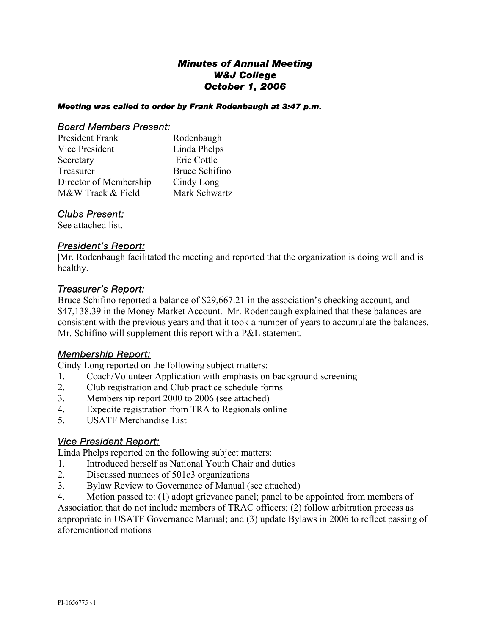# *Minutes of Annual Meeting W&J College October 1, 2006*

#### *Meeting was called to order by Frank Rodenbaugh at 3:47 p.m.*

#### *Board Members Present:*

| President Frank        | Rodenbaugh     |
|------------------------|----------------|
| Vice President         | Linda Phelps   |
| Secretary              | Eric Cottle    |
| Treasurer              | Bruce Schifino |
| Director of Membership | Cindy Long     |
| M&W Track & Field      | Mark Schwartz  |

### *Clubs Present:*

See attached list.

### *President's Report:*

**|**Mr. Rodenbaugh facilitated the meeting and reported that the organization is doing well and is healthy.

### *Treasurer's Report:*

Bruce Schifino reported a balance of \$29,667.21 in the association's checking account, and \$47,138.39 in the Money Market Account. Mr. Rodenbaugh explained that these balances are consistent with the previous years and that it took a number of years to accumulate the balances. Mr. Schifino will supplement this report with a P&L statement.

## *Membership Report:*

Cindy Long reported on the following subject matters:

- 1. Coach/Volunteer Application with emphasis on background screening
- 2. Club registration and Club practice schedule forms
- 3. Membership report 2000 to 2006 (see attached)
- 4. Expedite registration from TRA to Regionals online
- 5. USATF Merchandise List

## *Vice President Report:*

Linda Phelps reported on the following subject matters:

- 1. Introduced herself as National Youth Chair and duties
- 2. Discussed nuances of 501c3 organizations
- 3. Bylaw Review to Governance of Manual (see attached)
- 4. Motion passed to: (1) adopt grievance panel; panel to be appointed from members of

Association that do not include members of TRAC officers; (2) follow arbitration process as appropriate in USATF Governance Manual; and (3) update Bylaws in 2006 to reflect passing of aforementioned motions